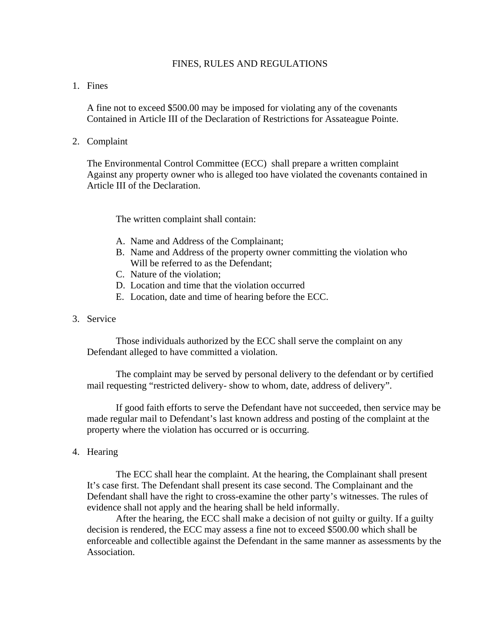### FINES, RULES AND REGULATIONS

# 1. Fines

A fine not to exceed \$500.00 may be imposed for violating any of the covenants Contained in Article III of the Declaration of Restrictions for Assateague Pointe.

2. Complaint

 The Environmental Control Committee (ECC) shall prepare a written complaint Against any property owner who is alleged too have violated the covenants contained in Article III of the Declaration.

The written complaint shall contain:

- A. Name and Address of the Complainant;
- B. Name and Address of the property owner committing the violation who Will be referred to as the Defendant:
- C. Nature of the violation;
- D. Location and time that the violation occurred
- E. Location, date and time of hearing before the ECC.
- 3. Service

Those individuals authorized by the ECC shall serve the complaint on any Defendant alleged to have committed a violation.

The complaint may be served by personal delivery to the defendant or by certified mail requesting "restricted delivery- show to whom, date, address of delivery".

If good faith efforts to serve the Defendant have not succeeded, then service may be made regular mail to Defendant's last known address and posting of the complaint at the property where the violation has occurred or is occurring.

4. Hearing

The ECC shall hear the complaint. At the hearing, the Complainant shall present It's case first. The Defendant shall present its case second. The Complainant and the Defendant shall have the right to cross-examine the other party's witnesses. The rules of evidence shall not apply and the hearing shall be held informally.

 After the hearing, the ECC shall make a decision of not guilty or guilty. If a guilty decision is rendered, the ECC may assess a fine not to exceed \$500.00 which shall be enforceable and collectible against the Defendant in the same manner as assessments by the Association.